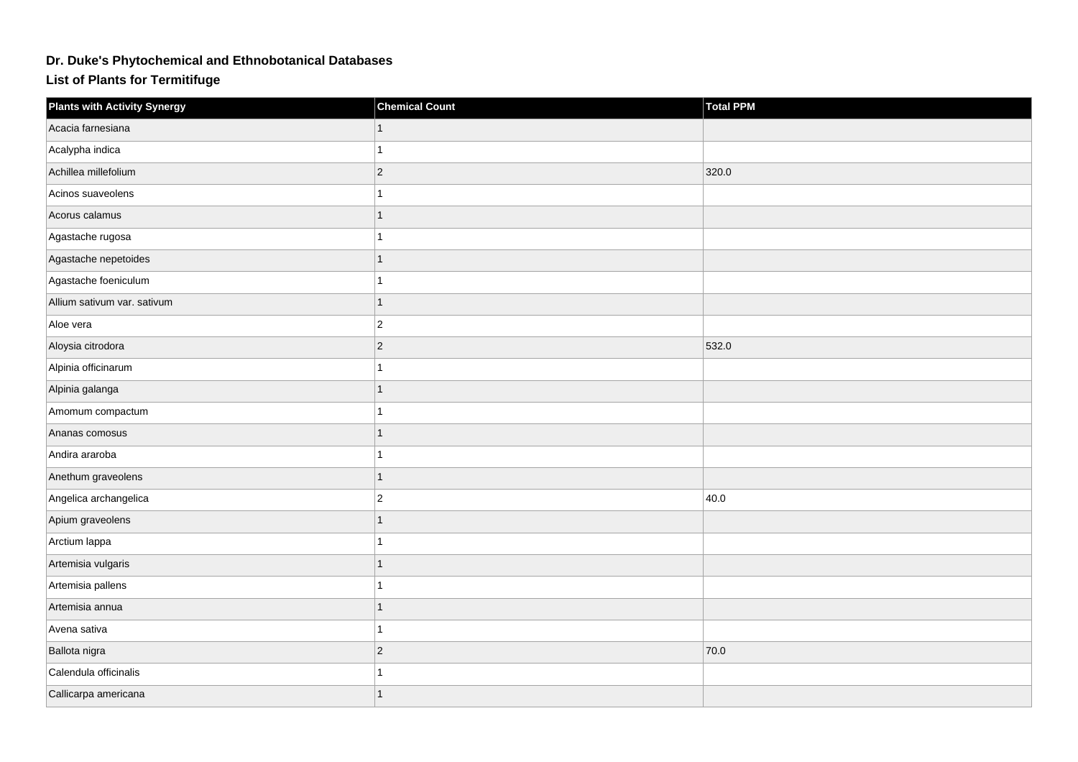## **Dr. Duke's Phytochemical and Ethnobotanical Databases**

**List of Plants for Termitifuge**

| <b>Plants with Activity Synergy</b> | <b>Chemical Count</b> | Total PPM |
|-------------------------------------|-----------------------|-----------|
| Acacia farnesiana                   |                       |           |
| Acalypha indica                     | 1                     |           |
| Achillea millefolium                | $\vert$ 2             | 320.0     |
| Acinos suaveolens                   | 1                     |           |
| Acorus calamus                      | $\overline{1}$        |           |
| Agastache rugosa                    | 1                     |           |
| Agastache nepetoides                | 1                     |           |
| Agastache foeniculum                | 1                     |           |
| Allium sativum var. sativum         | $\mathbf{1}$          |           |
| Aloe vera                           | $ 2\rangle$           |           |
| Aloysia citrodora                   | $ 2\rangle$           | 532.0     |
| Alpinia officinarum                 | 1                     |           |
| Alpinia galanga                     | 1                     |           |
| Amomum compactum                    | 1                     |           |
| Ananas comosus                      | 1                     |           |
| Andira araroba                      | 1                     |           |
| Anethum graveolens                  | 1                     |           |
| Angelica archangelica               | $\overline{2}$        | 40.0      |
| Apium graveolens                    |                       |           |
| Arctium lappa                       | 1                     |           |
| Artemisia vulgaris                  | 1                     |           |
| Artemisia pallens                   | 1                     |           |
| Artemisia annua                     | 1                     |           |
| Avena sativa                        | 1                     |           |
| Ballota nigra                       | $\overline{c}$        | 70.0      |
| Calendula officinalis               |                       |           |
| Callicarpa americana                | 1                     |           |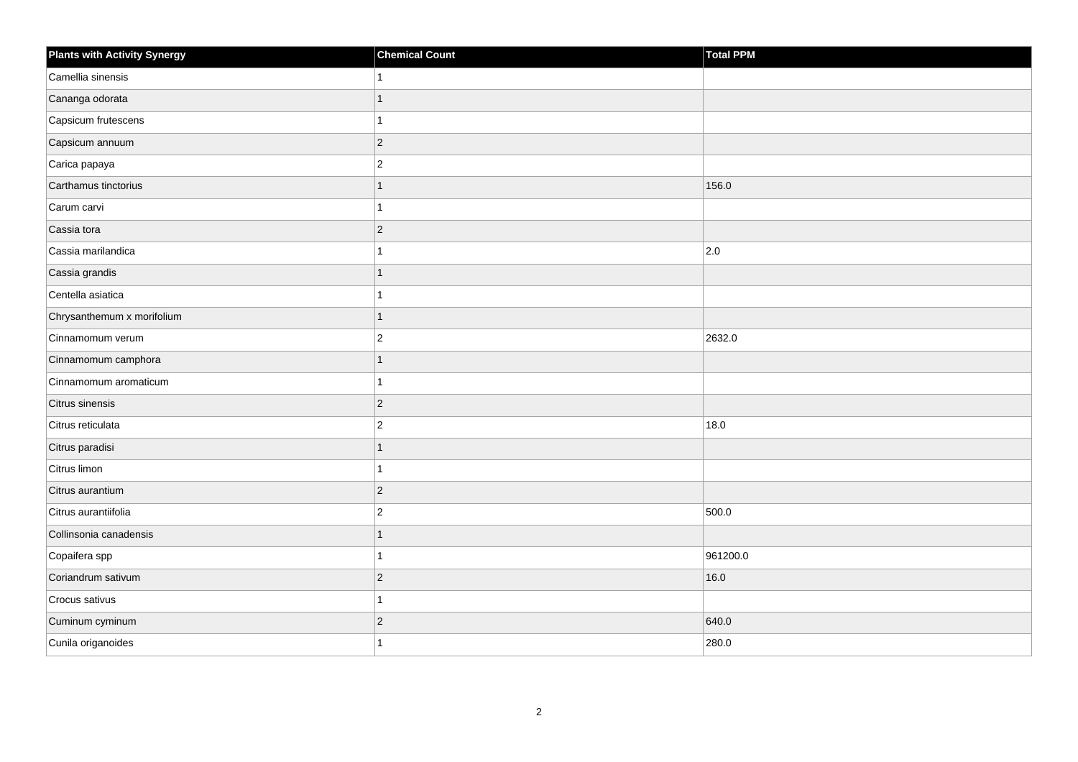| <b>Plants with Activity Synergy</b> | <b>Chemical Count</b> | Total PPM     |
|-------------------------------------|-----------------------|---------------|
| Camellia sinensis                   |                       |               |
| Cananga odorata                     | 1                     |               |
| Capsicum frutescens                 | 1                     |               |
| Capsicum annuum                     | $ 2\rangle$           |               |
| Carica papaya                       | $\overline{c}$        |               |
| Carthamus tinctorius                |                       | 156.0         |
| Carum carvi                         |                       |               |
| Cassia tora                         | $ 2\rangle$           |               |
| Cassia marilandica                  |                       | $ 2.0\rangle$ |
| Cassia grandis                      |                       |               |
| Centella asiatica                   |                       |               |
| Chrysanthemum x morifolium          |                       |               |
| Cinnamomum verum                    | $ 2\rangle$           | 2632.0        |
| Cinnamomum camphora                 |                       |               |
| Cinnamomum aromaticum               |                       |               |
| Citrus sinensis                     | $ 2\rangle$           |               |
| Citrus reticulata                   | $\overline{2}$        | 18.0          |
| Citrus paradisi                     |                       |               |
| Citrus limon                        | 1                     |               |
| Citrus aurantium                    | $ 2\rangle$           |               |
| Citrus aurantiifolia                | $\overline{2}$        | 500.0         |
| Collinsonia canadensis              | 1                     |               |
| Copaifera spp                       |                       | 961200.0      |
| Coriandrum sativum                  | $ 2\rangle$           | 16.0          |
| Crocus sativus                      | 1                     |               |
| Cuminum cyminum                     | $ 2\rangle$           | 640.0         |
| Cunila origanoides                  |                       | 280.0         |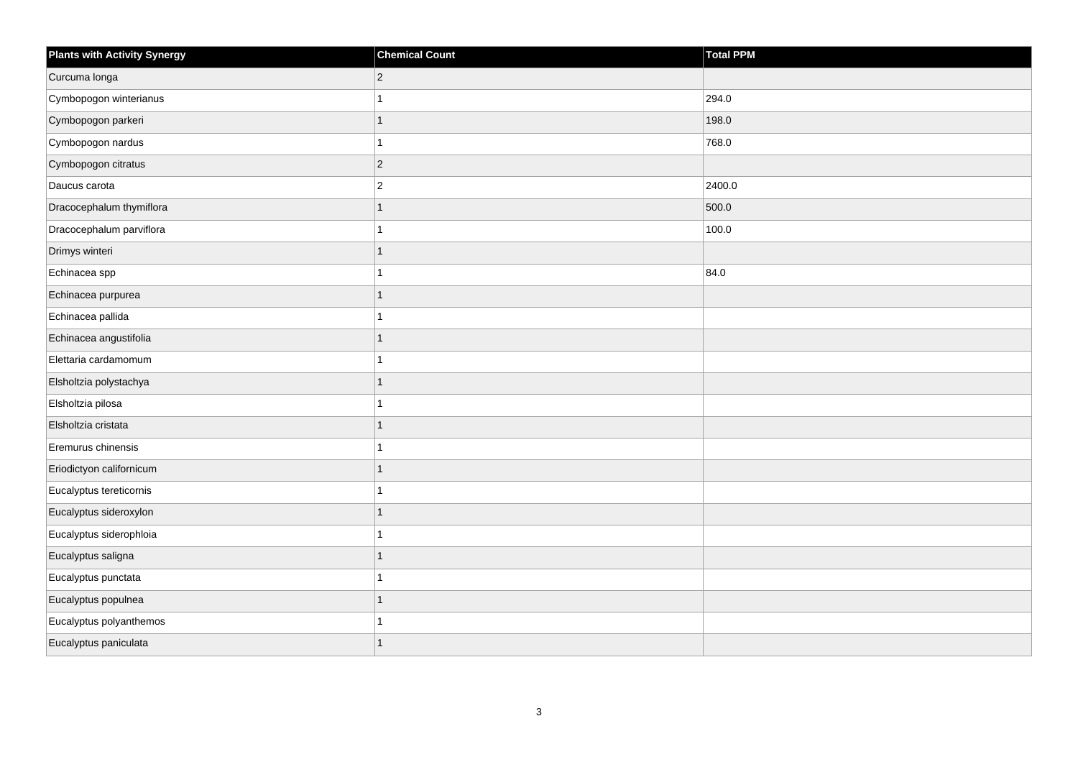| <b>Plants with Activity Synergy</b> | <b>Chemical Count</b> | <b>Total PPM</b> |
|-------------------------------------|-----------------------|------------------|
| Curcuma longa                       | $\overline{2}$        |                  |
| Cymbopogon winterianus              |                       | 294.0            |
| Cymbopogon parkeri                  | 1                     | 198.0            |
| Cymbopogon nardus                   |                       | 768.0            |
| Cymbopogon citratus                 | $\overline{2}$        |                  |
| Daucus carota                       | $\overline{2}$        | 2400.0           |
| Dracocephalum thymiflora            | 1                     | 500.0            |
| Dracocephalum parviflora            |                       | 100.0            |
| Drimys winteri                      |                       |                  |
| Echinacea spp                       |                       | 84.0             |
| Echinacea purpurea                  |                       |                  |
| Echinacea pallida                   |                       |                  |
| Echinacea angustifolia              | 1                     |                  |
| Elettaria cardamomum                |                       |                  |
| Elsholtzia polystachya              |                       |                  |
| Elsholtzia pilosa                   |                       |                  |
| Elsholtzia cristata                 |                       |                  |
| Eremurus chinensis                  |                       |                  |
| Eriodictyon californicum            | 1                     |                  |
| Eucalyptus tereticornis             |                       |                  |
| Eucalyptus sideroxylon              |                       |                  |
| Eucalyptus siderophloia             | 1                     |                  |
| Eucalyptus saligna                  |                       |                  |
| Eucalyptus punctata                 |                       |                  |
| Eucalyptus populnea                 | 1                     |                  |
| Eucalyptus polyanthemos             |                       |                  |
| Eucalyptus paniculata               |                       |                  |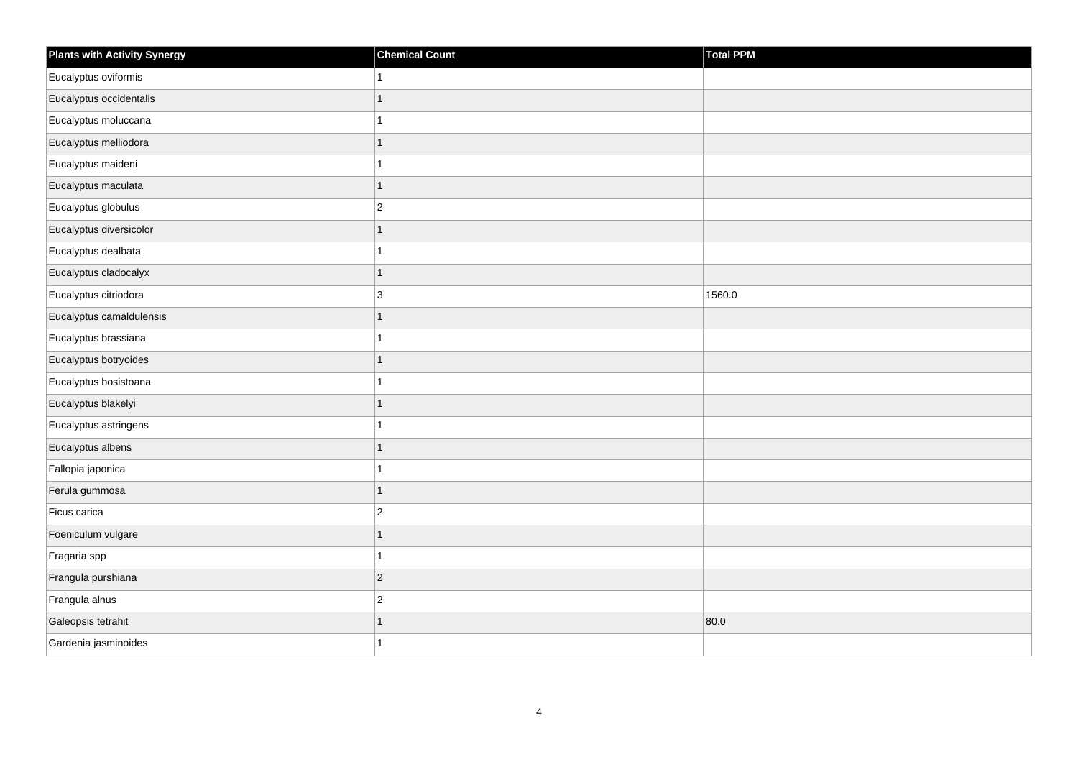| <b>Plants with Activity Synergy</b> | <b>Chemical Count</b> | Total PPM |
|-------------------------------------|-----------------------|-----------|
| Eucalyptus oviformis                | $\mathbf{1}$          |           |
| Eucalyptus occidentalis             | $\mathbf{1}$          |           |
| Eucalyptus moluccana                | $\mathbf{1}$          |           |
| Eucalyptus melliodora               | $\mathbf{1}$          |           |
| Eucalyptus maideni                  | $\mathbf{1}$          |           |
| Eucalyptus maculata                 | $\mathbf{1}$          |           |
| Eucalyptus globulus                 | $\overline{c}$        |           |
| Eucalyptus diversicolor             | $\overline{1}$        |           |
| Eucalyptus dealbata                 | $\mathbf{1}$          |           |
| Eucalyptus cladocalyx               | $\mathbf{1}$          |           |
| Eucalyptus citriodora               | $\mathbf{3}$          | 1560.0    |
| Eucalyptus camaldulensis            | $\mathbf{1}$          |           |
| Eucalyptus brassiana                | $\mathbf{1}$          |           |
| Eucalyptus botryoides               | $\mathbf{1}$          |           |
| Eucalyptus bosistoana               | $\mathbf{1}$          |           |
| Eucalyptus blakelyi                 | $\mathbf{1}$          |           |
| Eucalyptus astringens               | $\overline{1}$        |           |
| Eucalyptus albens                   | $\mathbf{1}$          |           |
| Fallopia japonica                   | $\mathbf{1}$          |           |
| Ferula gummosa                      | $\mathbf{1}$          |           |
| Ficus carica                        | $\overline{2}$        |           |
| Foeniculum vulgare                  | $\mathbf{1}$          |           |
| Fragaria spp                        | $\mathbf{1}$          |           |
| Frangula purshiana                  | $\vert$ 2             |           |
| Frangula alnus                      | $\overline{c}$        |           |
| Galeopsis tetrahit                  | $\mathbf{1}$          | 80.0      |
| Gardenia jasminoides                | $\mathbf 1$           |           |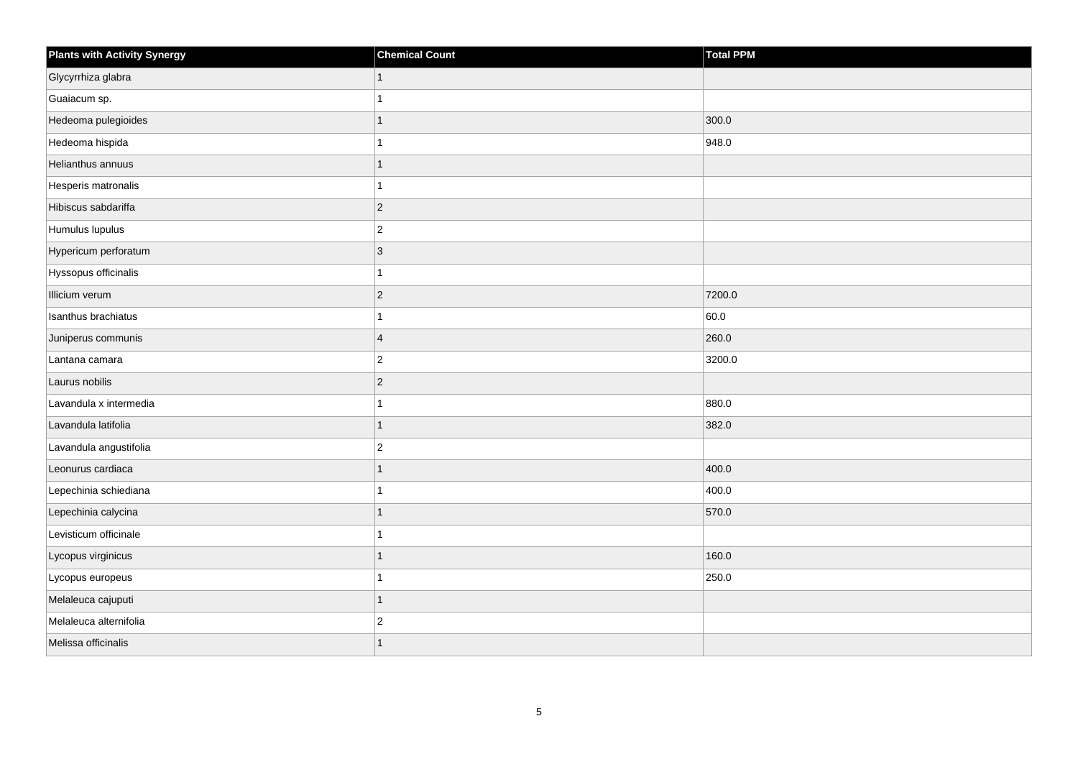| <b>Plants with Activity Synergy</b> | <b>Chemical Count</b> | Total PPM |
|-------------------------------------|-----------------------|-----------|
| Glycyrrhiza glabra                  | $\mathbf{1}$          |           |
| Guaiacum sp.                        | 1                     |           |
| Hedeoma pulegioides                 | 1                     | 300.0     |
| Hedeoma hispida                     | 1                     | 948.0     |
| Helianthus annuus                   | 1                     |           |
| Hesperis matronalis                 | 1                     |           |
| Hibiscus sabdariffa                 | $ 2\rangle$           |           |
| Humulus lupulus                     | $ 2\rangle$           |           |
| Hypericum perforatum                | 3                     |           |
| Hyssopus officinalis                | 1                     |           |
| Illicium verum                      | $ 2\rangle$           | 7200.0    |
| Isanthus brachiatus                 | $\mathbf{1}$          | 60.0      |
| Juniperus communis                  | $\overline{4}$        | 260.0     |
| Lantana camara                      | $ 2\rangle$           | 3200.0    |
| Laurus nobilis                      | $ 2\rangle$           |           |
| Lavandula x intermedia              | 1                     | 880.0     |
| Lavandula latifolia                 | 1                     | 382.0     |
| Lavandula angustifolia              | $ 2\rangle$           |           |
| Leonurus cardiaca                   | $\mathbf{1}$          | 400.0     |
| Lepechinia schiediana               | 1                     | 400.0     |
| Lepechinia calycina                 | $\mathbf{1}$          | 570.0     |
| Levisticum officinale               | 1                     |           |
| Lycopus virginicus                  | 1                     | 160.0     |
| Lycopus europeus                    | 1                     | 250.0     |
| Melaleuca cajuputi                  | $\mathbf{1}$          |           |
| Melaleuca alternifolia              | $ 2\rangle$           |           |
| Melissa officinalis                 | 1                     |           |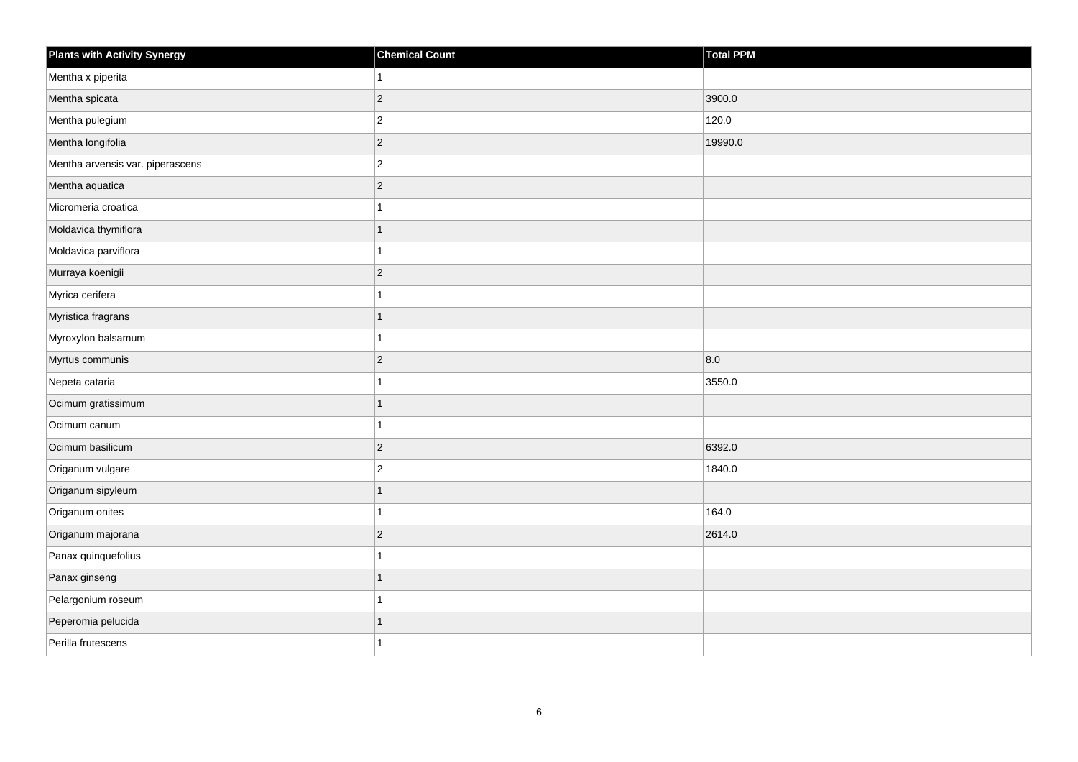| <b>Plants with Activity Synergy</b> | <b>Chemical Count</b> | <b>Total PPM</b> |
|-------------------------------------|-----------------------|------------------|
| Mentha x piperita                   | 1                     |                  |
| Mentha spicata                      | $\overline{2}$        | 3900.0           |
| Mentha pulegium                     | $\overline{c}$        | 120.0            |
| Mentha longifolia                   | $\overline{c}$        | 19990.0          |
| Mentha arvensis var. piperascens    | $\overline{2}$        |                  |
| Mentha aquatica                     | $\overline{c}$        |                  |
| Micromeria croatica                 | 1                     |                  |
| Moldavica thymiflora                | $\overline{1}$        |                  |
| Moldavica parviflora                | 1                     |                  |
| Murraya koenigii                    | $\overline{2}$        |                  |
| Myrica cerifera                     | 1                     |                  |
| Myristica fragrans                  | 1                     |                  |
| Myroxylon balsamum                  | 1                     |                  |
| Myrtus communis                     | $\overline{2}$        | 8.0              |
| Nepeta cataria                      | 1                     | 3550.0           |
| Ocimum gratissimum                  | $\overline{1}$        |                  |
| Ocimum canum                        | 1                     |                  |
| Ocimum basilicum                    | $\overline{c}$        | 6392.0           |
| Origanum vulgare                    | $\mathbf 2$           | 1840.0           |
| Origanum sipyleum                   | $\overline{1}$        |                  |
| Origanum onites                     | 1                     | 164.0            |
| Origanum majorana                   | $\overline{c}$        | 2614.0           |
| Panax quinquefolius                 | 1                     |                  |
| Panax ginseng                       | $\overline{1}$        |                  |
| Pelargonium roseum                  | 1                     |                  |
| Peperomia pelucida                  | 1                     |                  |
| Perilla frutescens                  | 1                     |                  |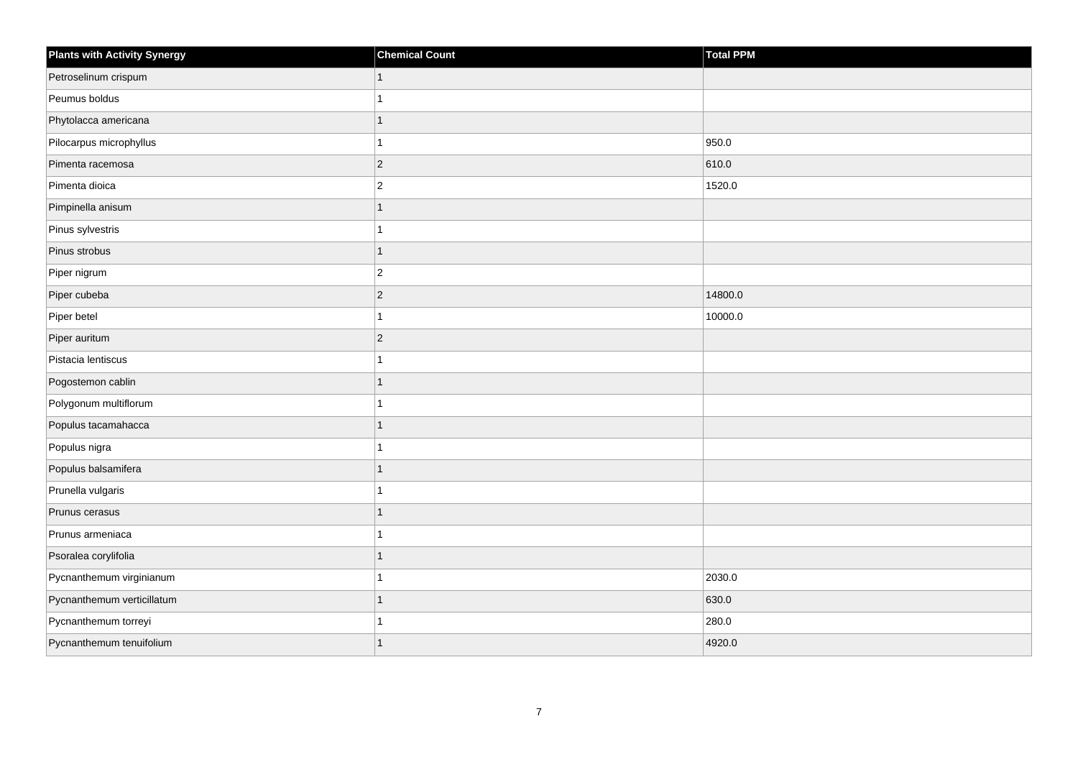| Plants with Activity Synergy | <b>Chemical Count</b> | Total PPM |
|------------------------------|-----------------------|-----------|
| Petroselinum crispum         | $\mathbf{1}$          |           |
| Peumus boldus                | 1                     |           |
| Phytolacca americana         | 1                     |           |
| Pilocarpus microphyllus      | $\mathbf{1}$          | 950.0     |
| Pimenta racemosa             | $ 2\rangle$           | 610.0     |
| Pimenta dioica               | $\vert$ 2             | 1520.0    |
| Pimpinella anisum            | $\mathbf{1}$          |           |
| Pinus sylvestris             | 1                     |           |
| Pinus strobus                | $\mathbf{1}$          |           |
| Piper nigrum                 | $ 2\rangle$           |           |
| Piper cubeba                 | $ 2\rangle$           | 14800.0   |
| Piper betel                  | $\mathbf{1}$          | 10000.0   |
| Piper auritum                | $ 2\rangle$           |           |
| Pistacia lentiscus           | 1                     |           |
| Pogostemon cablin            | $\mathbf{1}$          |           |
| Polygonum multiflorum        | 1                     |           |
| Populus tacamahacca          | 1                     |           |
| Populus nigra                | 1                     |           |
| Populus balsamifera          | $\mathbf{1}$          |           |
| Prunella vulgaris            | 1                     |           |
| Prunus cerasus               | $\mathbf{1}$          |           |
| Prunus armeniaca             | 1                     |           |
| Psoralea corylifolia         | 1                     |           |
| Pycnanthemum virginianum     | 1                     | 2030.0    |
| Pycnanthemum verticillatum   | $\mathbf{1}$          | 630.0     |
| Pycnanthemum torreyi         | 1                     | 280.0     |
| Pycnanthemum tenuifolium     | 1                     | 4920.0    |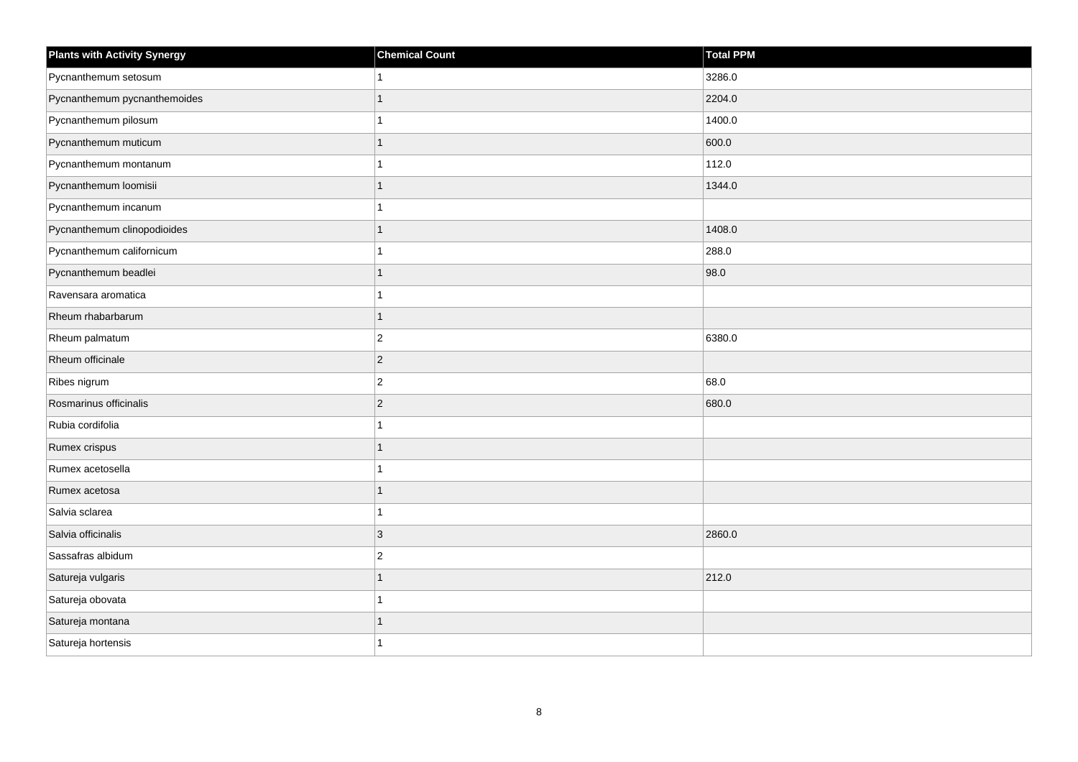| <b>Plants with Activity Synergy</b> | <b>Chemical Count</b> | <b>Total PPM</b> |
|-------------------------------------|-----------------------|------------------|
| Pycnanthemum setosum                |                       | 3286.0           |
| Pycnanthemum pycnanthemoides        | 1                     | 2204.0           |
| Pycnanthemum pilosum                | 1                     | 1400.0           |
| Pycnanthemum muticum                | $\overline{1}$        | 600.0            |
| Pycnanthemum montanum               | 1                     | 112.0            |
| Pycnanthemum loomisii               | 1                     | 1344.0           |
| Pycnanthemum incanum                | 1                     |                  |
| Pycnanthemum clinopodioides         | 1                     | 1408.0           |
| Pycnanthemum californicum           |                       | 288.0            |
| Pycnanthemum beadlei                | 1                     | 98.0             |
| Ravensara aromatica                 | 1                     |                  |
| Rheum rhabarbarum                   | $\overline{1}$        |                  |
| Rheum palmatum                      | $\overline{2}$        | 6380.0           |
| Rheum officinale                    | $\overline{c}$        |                  |
| Ribes nigrum                        | $\mathbf 2$           | 68.0             |
| Rosmarinus officinalis              | $\overline{c}$        | 680.0            |
| Rubia cordifolia                    |                       |                  |
| Rumex crispus                       | 1                     |                  |
| Rumex acetosella                    | 1                     |                  |
| Rumex acetosa                       | 1                     |                  |
| Salvia sclarea                      |                       |                  |
| Salvia officinalis                  | $\mathbf{3}$          | 2860.0           |
| Sassafras albidum                   | $\overline{2}$        |                  |
| Satureja vulgaris                   | $\overline{1}$        | 212.0            |
| Satureja obovata                    | 1                     |                  |
| Satureja montana                    | 1                     |                  |
| Satureja hortensis                  |                       |                  |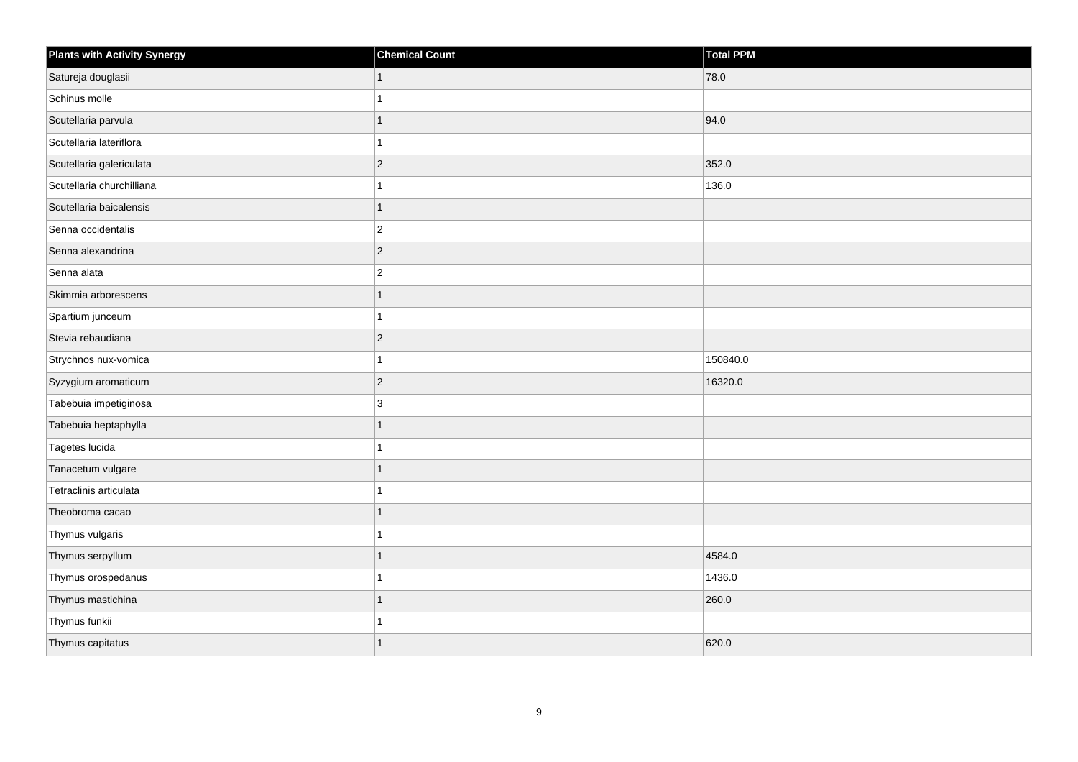| <b>Plants with Activity Synergy</b> | <b>Chemical Count</b> | Total PPM |
|-------------------------------------|-----------------------|-----------|
| Satureja douglasii                  |                       | 78.0      |
| Schinus molle                       |                       |           |
| Scutellaria parvula                 |                       | 94.0      |
| Scutellaria lateriflora             |                       |           |
| Scutellaria galericulata            | $\overline{2}$        | 352.0     |
| Scutellaria churchilliana           |                       | 136.0     |
| Scutellaria baicalensis             | 1                     |           |
| Senna occidentalis                  | $\overline{2}$        |           |
| Senna alexandrina                   | $\overline{2}$        |           |
| Senna alata                         | $\overline{a}$        |           |
| Skimmia arborescens                 |                       |           |
| Spartium junceum                    |                       |           |
| Stevia rebaudiana                   | $\overline{2}$        |           |
| Strychnos nux-vomica                |                       | 150840.0  |
| Syzygium aromaticum                 | $ 2\rangle$           | 16320.0   |
| Tabebuia impetiginosa               | 3                     |           |
| Tabebuia heptaphylla                |                       |           |
| Tagetes lucida                      |                       |           |
| Tanacetum vulgare                   | 1                     |           |
| Tetraclinis articulata              |                       |           |
| Theobroma cacao                     |                       |           |
| Thymus vulgaris                     |                       |           |
| Thymus serpyllum                    |                       | 4584.0    |
| Thymus orospedanus                  |                       | 1436.0    |
| Thymus mastichina                   | 1                     | 260.0     |
| Thymus funkii                       |                       |           |
| Thymus capitatus                    |                       | 620.0     |